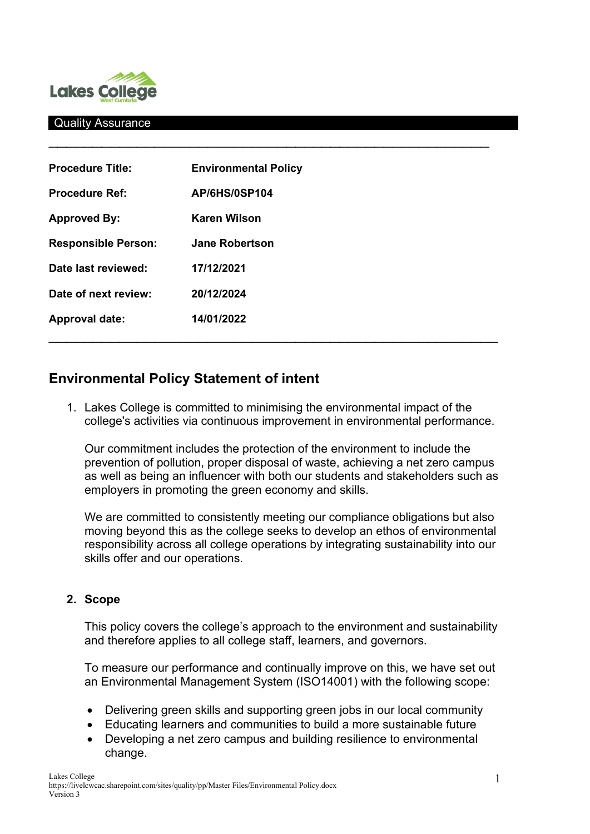

#### Quality Assurance

| <b>Procedure Title:</b>    | <b>Environmental Policy</b> |  |
|----------------------------|-----------------------------|--|
| <b>Procedure Ref:</b>      | <b>AP/6HS/0SP104</b>        |  |
| <b>Approved By:</b>        | <b>Karen Wilson</b>         |  |
| <b>Responsible Person:</b> | <b>Jane Robertson</b>       |  |
| Date last reviewed:        | 17/12/2021                  |  |
| Date of next review:       | 20/12/2024                  |  |
| <b>Approval date:</b>      | 14/01/2022                  |  |
|                            |                             |  |

# **Environmental Policy Statement of intent**

1. Lakes College is committed to minimising the environmental impact of the college's activities via continuous improvement in environmental performance.

 $\frac{1}{2}$  ,  $\frac{1}{2}$  ,  $\frac{1}{2}$  ,  $\frac{1}{2}$  ,  $\frac{1}{2}$  ,  $\frac{1}{2}$  ,  $\frac{1}{2}$  ,  $\frac{1}{2}$  ,  $\frac{1}{2}$  ,  $\frac{1}{2}$  ,  $\frac{1}{2}$  ,  $\frac{1}{2}$  ,  $\frac{1}{2}$  ,  $\frac{1}{2}$  ,  $\frac{1}{2}$  ,  $\frac{1}{2}$  ,  $\frac{1}{2}$  ,  $\frac{1}{2}$  ,  $\frac{1$ 

Our commitment includes the protection of the environment to include the prevention of pollution, proper disposal of waste, achieving a net zero campus as well as being an influencer with both our students and stakeholders such as employers in promoting the green economy and skills.

We are committed to consistently meeting our compliance obligations but also moving beyond this as the college seeks to develop an ethos of environmental responsibility across all college operations by integrating sustainability into our skills offer and our operations.

#### **2. Scope**

This policy covers the college's approach to the environment and sustainability and therefore applies to all college staff, learners, and governors.

To measure our performance and continually improve on this, we have set out an Environmental Management System (ISO14001) with the following scope:

- Delivering green skills and supporting green jobs in our local community
- Educating learners and communities to build a more sustainable future
- Developing a net zero campus and building resilience to environmental change.